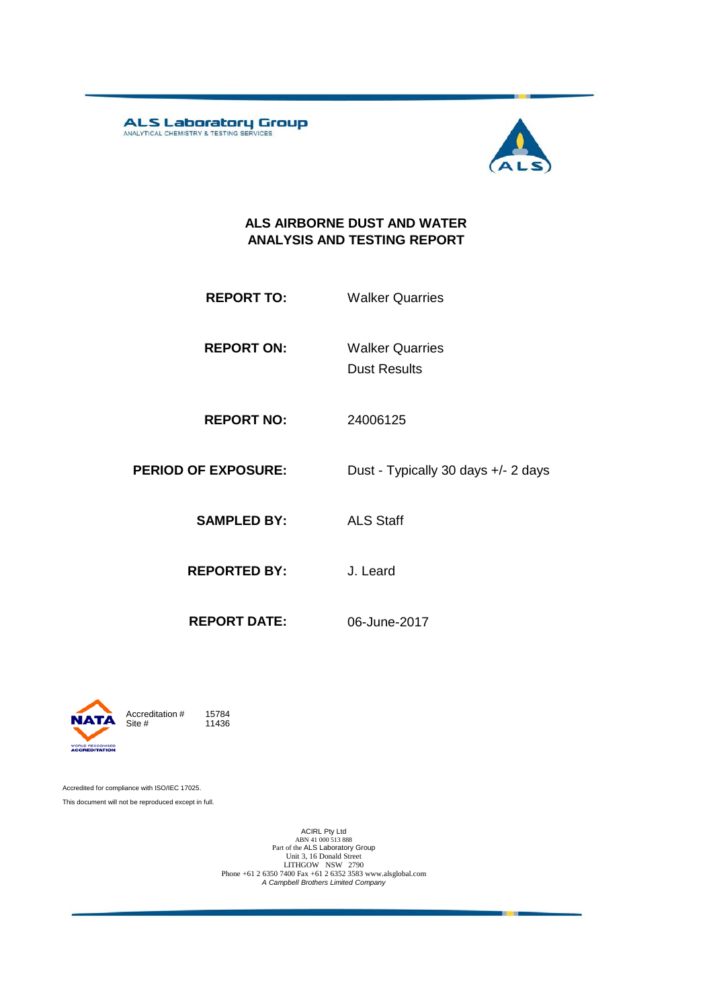**ALS Laboratory Group** 



#### **ALS AIRBORNE DUST AND WATER ANALYSIS AND TESTING REPORT**

**REPORT ON:** Dust Results Walker Quarries

**REPORT NO:** 24006125

**PERIOD OF EXPOSURE:** Dust - Typically 30 days +/- 2 days

**SAMPLED BY:** ALS Staff

**REPORTED BY:** J. Leard

**REPORT DATE:** 06-June-2017



11436

Accredited for compliance with ISO/IEC 17025. This document will not be reproduced except in full.

ACIRL Pty Ltd<br>
ABN 41 000 513 888<br>
Part of the ALS Laboratory Group<br>
Unit 3, 16 Donald Street<br>
LITHGOW NSW 2790<br>
Phone +61 2 6350 7400 Fax +61 2 6352 3583 www.alsglobal.com<br> *A Campbell Brothers Limited Company*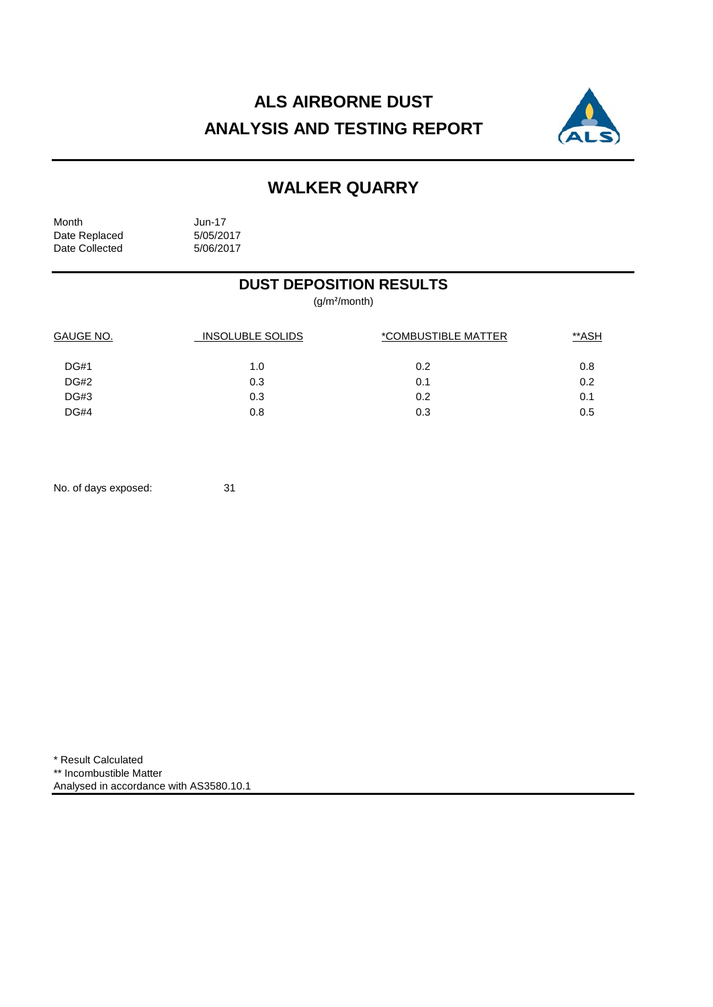# **ALS AIRBORNE DUST ANALYSIS AND TESTING REPORT**



## **WALKER QUARRY**

Month Jun-17<br>Date Replaced 5/05/2017 Date Replaced 5/05/2017<br>Date Collected 5/06/2017 Date Collected

### **DUST DEPOSITION RESULTS**

(g/m²/month)

| GAUGE NO.   | <b>INSOLUBLE SOLIDS</b> | *COMBUSTIBLE MATTER | **ASH |  |
|-------------|-------------------------|---------------------|-------|--|
| <b>DG#1</b> | 1.0                     | 0.2                 | 0.8   |  |
| <b>DG#2</b> | 0.3                     | 0.1                 | 0.2   |  |
| <b>DG#3</b> | 0.3                     | 0.2                 | 0.1   |  |
| DG#4        | 0.8                     | 0.3                 | 0.5   |  |

No. of days exposed: 31

\* Result Calculated \*\* Incombustible Matter Analysed in accordance with AS3580.10.1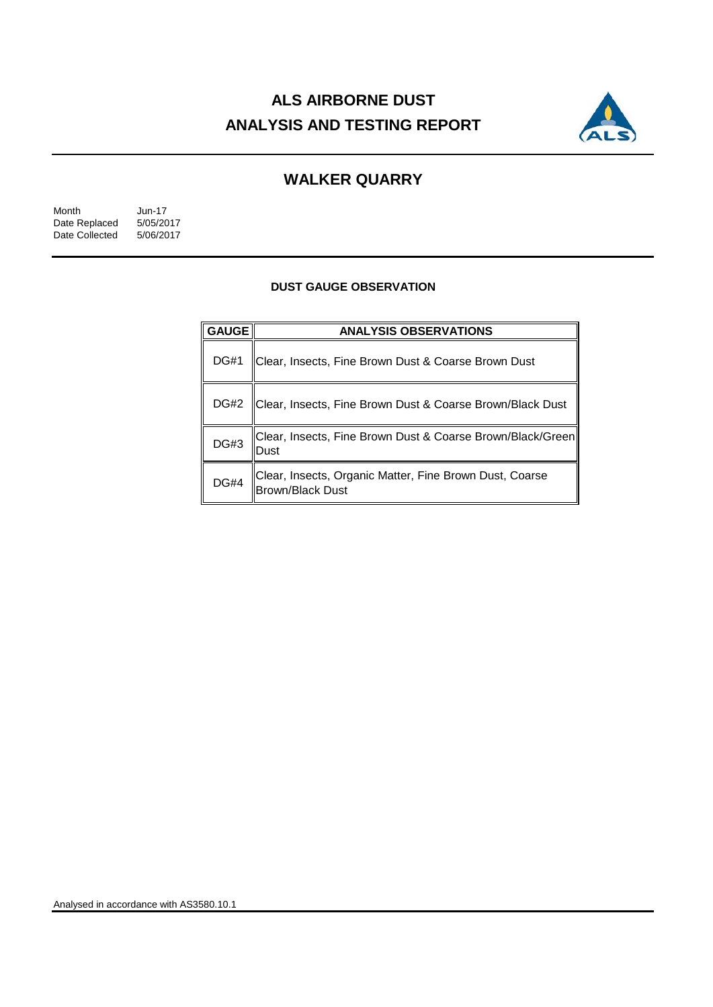# **ALS AIRBORNE DUST ANALYSIS AND TESTING REPORT**



## **WALKER QUARRY**

| Month          | Jun-17    |
|----------------|-----------|
| Date Replaced  | 5/05/2017 |
| Date Collected | 5/06/2017 |

#### **DUST GAUGE OBSERVATION**

| <b>GAUGE</b> | <b>ANALYSIS OBSERVATIONS</b>                                                       |  |  |
|--------------|------------------------------------------------------------------------------------|--|--|
| <b>DG#1</b>  | Clear, Insects, Fine Brown Dust & Coarse Brown Dust                                |  |  |
| <b>DG#2</b>  | Clear, Insects, Fine Brown Dust & Coarse Brown/Black Dust                          |  |  |
| DG#3         | Clear, Insects, Fine Brown Dust & Coarse Brown/Black/Green<br>Dust                 |  |  |
| <b>DG#4</b>  | Clear, Insects, Organic Matter, Fine Brown Dust, Coarse<br><b>Brown/Black Dust</b> |  |  |